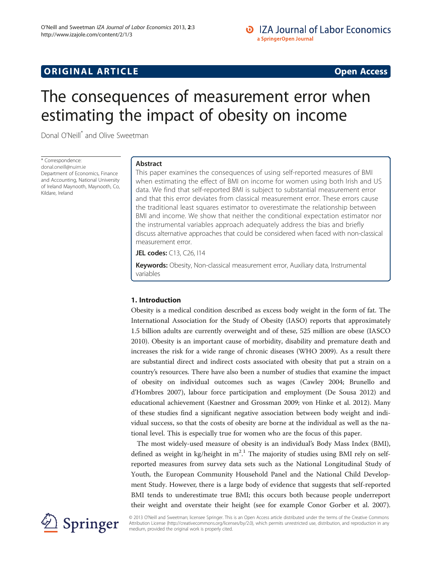# **ORIGINAL ARTICLE CONSERVANCE IN A LOCAL CONSERVANCE IN A LOCAL CONSERVANCE IN A LOCAL CONSERVANCE IN A LOCAL CONSERVANCE IN A LOCAL CONSERVANCE IN A LOCAL CONSERVANCE IN A LOCAL CONSERVANCE IN A LOCAL CONSERVANCE IN A L**

# The consequences of measurement error when estimating the impact of obesity on income

Donal O'Neill\* and Olive Sweetman

\* Correspondence: [donal.oneill@nuim.ie](mailto:donal.oneill@nuim.ie) Department of Economics, Finance and Accounting, National University of Ireland Maynooth, Maynooth, Co, Kildare, Ireland

## Abstract

This paper examines the consequences of using self-reported measures of BMI when estimating the effect of BMI on income for women using both Irish and US data. We find that self-reported BMI is subject to substantial measurement error and that this error deviates from classical measurement error. These errors cause the traditional least squares estimator to overestimate the relationship between BMI and income. We show that neither the conditional expectation estimator nor the instrumental variables approach adequately address the bias and briefly discuss alternative approaches that could be considered when faced with non-classical measurement error.

JEL codes: C13, C26, I14

Keywords: Obesity, Non-classical measurement error, Auxiliary data, Instrumental variables

### 1. Introduction

Obesity is a medical condition described as excess body weight in the form of fat. The International Association for the Study of Obesity (IASO) reports that approximately 1.5 billion adults are currently overweight and of these, 525 million are obese (IASCO [2010](#page-18-0)). Obesity is an important cause of morbidity, disability and premature death and increases the risk for a wide range of chronic diseases (WHO [2009](#page-19-0)). As a result there are substantial direct and indirect costs associated with obesity that put a strain on a country's resources. There have also been a number of studies that examine the impact of obesity on individual outcomes such as wages (Cawley [2004;](#page-18-0) Brunello and d'Hombres [2007](#page-18-0)), labour force participation and employment (De Sousa [2012\)](#page-18-0) and educational achievement (Kaestner and Grossman [2009](#page-18-0); von Hinke et al. [2012\)](#page-19-0). Many of these studies find a significant negative association between body weight and individual success, so that the costs of obesity are borne at the individual as well as the national level. This is especially true for women who are the focus of this paper.

The most widely-used measure of obesity is an individual's Body Mass Index (BMI), defined as weight in kg/height in  $m^2$ .<sup>1</sup> The majority of studies using BMI rely on selfreported measures from survey data sets such as the National Longitudinal Study of Youth, the European Community Household Panel and the National Child Development Study. However, there is a large body of evidence that suggests that self-reported BMI tends to underestimate true BMI; this occurs both because people underreport their weight and overstate their height (see for example Conor Gorber et al. [2007](#page-18-0)).



© 2013 O'Neill and Sweetman; licensee Springer. This is an Open Access article distributed under the terms of the Creative Commons Attribution License [\(http://creativecommons.org/licenses/by/2.0\)](http://creativecommons.org/licenses/by/2.0), which permits unrestricted use, distribution, and reproduction in any medium, provided the original work is properly cited.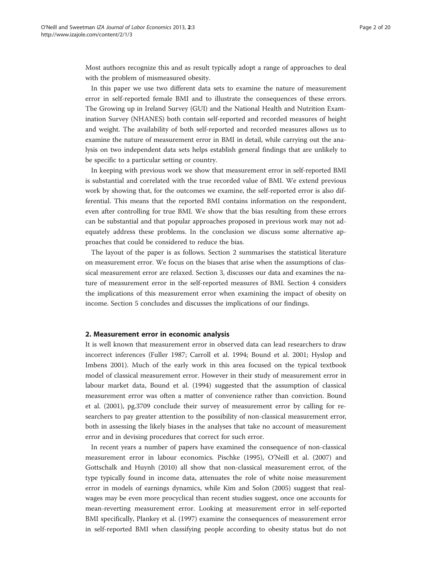<span id="page-1-0"></span>Most authors recognize this and as result typically adopt a range of approaches to deal with the problem of mismeasured obesity.

In this paper we use two different data sets to examine the nature of measurement error in self-reported female BMI and to illustrate the consequences of these errors. The Growing up in Ireland Survey (GUI) and the National Health and Nutrition Examination Survey (NHANES) both contain self-reported and recorded measures of height and weight. The availability of both self-reported and recorded measures allows us to examine the nature of measurement error in BMI in detail, while carrying out the analysis on two independent data sets helps establish general findings that are unlikely to be specific to a particular setting or country.

In keeping with previous work we show that measurement error in self-reported BMI is substantial and correlated with the true recorded value of BMI. We extend previous work by showing that, for the outcomes we examine, the self-reported error is also differential. This means that the reported BMI contains information on the respondent, even after controlling for true BMI. We show that the bias resulting from these errors can be substantial and that popular approaches proposed in previous work may not adequately address these problems. In the conclusion we discuss some alternative approaches that could be considered to reduce the bias.

The layout of the paper is as follows. Section 2 summarises the statistical literature on measurement error. We focus on the biases that arise when the assumptions of classical measurement error are relaxed. Section [3,](#page-5-0) discusses our data and examines the nature of measurement error in the self-reported measures of BMI. Section [4](#page-7-0) considers the implications of this measurement error when examining the impact of obesity on income. Section [5](#page-14-0) concludes and discusses the implications of our findings.

#### 2. Measurement error in economic analysis

It is well known that measurement error in observed data can lead researchers to draw incorrect inferences (Fuller [1987](#page-18-0); Carroll et al. [1994](#page-18-0); Bound et al. [2001](#page-18-0); Hyslop and Imbens [2001\)](#page-18-0). Much of the early work in this area focused on the typical textbook model of classical measurement error. However in their study of measurement error in labour market data, Bound et al. ([1994](#page-18-0)) suggested that the assumption of classical measurement error was often a matter of convenience rather than conviction. Bound et al. [\(2001](#page-18-0)), pg.3709 conclude their survey of measurement error by calling for researchers to pay greater attention to the possibility of non-classical measurement error, both in assessing the likely biases in the analyses that take no account of measurement error and in devising procedures that correct for such error.

In recent years a number of papers have examined the consequence of non-classical measurement error in labour economics. Pischke [\(1995\)](#page-19-0), O'Neill et al. [\(2007](#page-18-0)) and Gottschalk and Huynh [\(2010](#page-18-0)) all show that non-classical measurement error, of the type typically found in income data, attenuates the role of white noise measurement error in models of earnings dynamics, while Kim and Solon [\(2005](#page-18-0)) suggest that realwages may be even more procyclical than recent studies suggest, once one accounts for mean-reverting measurement error. Looking at measurement error in self-reported BMI specifically, Plankey et al. [\(1997\)](#page-19-0) examine the consequences of measurement error in self-reported BMI when classifying people according to obesity status but do not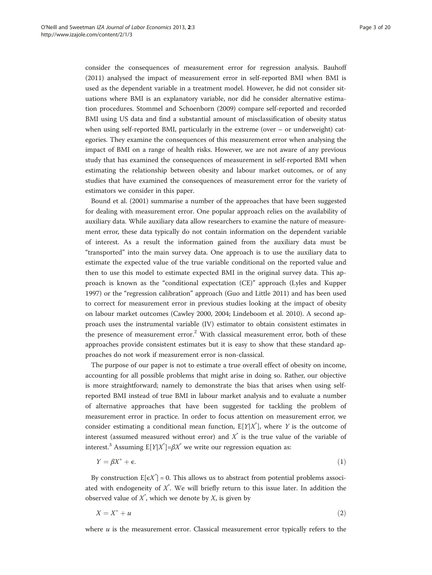<span id="page-2-0"></span>consider the consequences of measurement error for regression analysis. Bauhoff ([2011](#page-18-0)) analysed the impact of measurement error in self-reported BMI when BMI is used as the dependent variable in a treatment model. However, he did not consider situations where BMI is an explanatory variable, nor did he consider alternative estimation procedures. Stommel and Schoenborn [\(2009](#page-19-0)) compare self-reported and recorded BMI using US data and find a substantial amount of misclassification of obesity status when using self-reported BMI, particularly in the extreme (over – or underweight) categories. They examine the consequences of this measurement error when analysing the impact of BMI on a range of health risks. However, we are not aware of any previous study that has examined the consequences of measurement in self-reported BMI when estimating the relationship between obesity and labour market outcomes, or of any studies that have examined the consequences of measurement error for the variety of estimators we consider in this paper.

Bound et al. ([2001\)](#page-18-0) summarise a number of the approaches that have been suggested for dealing with measurement error. One popular approach relies on the availability of auxiliary data. While auxiliary data allow researchers to examine the nature of measurement error, these data typically do not contain information on the dependent variable of interest. As a result the information gained from the auxiliary data must be "transported" into the main survey data. One approach is to use the auxiliary data to estimate the expected value of the true variable conditional on the reported value and then to use this model to estimate expected BMI in the original survey data. This approach is known as the "conditional expectation (CE)" approach (Lyles and Kupper [1997](#page-18-0)) or the "regression calibration" approach (Guo and Little [2011\)](#page-18-0) and has been used to correct for measurement error in previous studies looking at the impact of obesity on labour market outcomes (Cawley [2000, 2004;](#page-18-0) Lindeboom et al. [2010\)](#page-18-0). A second approach uses the instrumental variable (IV) estimator to obtain consistent estimates in the presence of measurement error.<sup>2</sup> With classical measurement error, both of these approaches provide consistent estimates but it is easy to show that these standard approaches do not work if measurement error is non-classical.

The purpose of our paper is not to estimate a true overall effect of obesity on income, accounting for all possible problems that might arise in doing so. Rather, our objective is more straightforward; namely to demonstrate the bias that arises when using selfreported BMI instead of true BMI in labour market analysis and to evaluate a number of alternative approaches that have been suggested for tackling the problem of measurement error in practice. In order to focus attention on measurement error, we consider estimating a conditional mean function,  $E[Y|X^*]$ , where Y is the outcome of interest (assumed measured without error) and  $X^*$  is the true value of the variable of interest.<sup>3</sup> Assuming  $E[Y|X^*]{=}\beta X^*$  we write our regression equation as:

$$
Y = \beta X^* + \epsilon. \tag{1}
$$

By construction  $E[\epsilon X^{\dagger}] = 0$ . This allows us to abstract from potential problems associated with endogeneity of  $X^*$ . We will briefly return to this issue later. In addition the observed value of  $X^*$ , which we denote by  $X$ , is given by

$$
X = X^* + u \tag{2}
$$

where  $u$  is the measurement error. Classical measurement error typically refers to the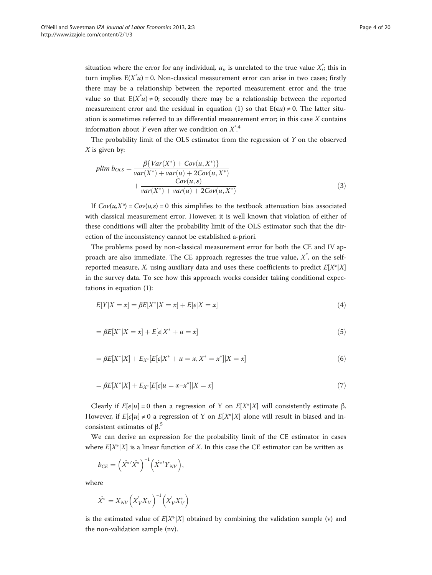<span id="page-3-0"></span>situation where the error for any individual,  $u_i$ , is unrelated to the true value  $X_i^*$ ; this in turn implies  $E(X^*u) = 0$ . Non-classical measurement error can arise in two cases; firstly there may be a relationship between the reported measurement error and the true value so that  $E(X^*u) \neq 0$ ; secondly there may be a relationship between the reported measurement error and the residual in equation [\(1](#page-2-0)) so that  $E(\epsilon u) \neq 0$ . The latter situation is sometimes referred to as differential measurement error; in this case  $X$  contains information about Y even after we condition on  $X^*$ .<sup>4</sup>

The probability limit of the OLS estimator from the regression of  $Y$  on the observed  $X$  is given by:

plim 
$$
b_{OLS} = \frac{\beta \{Var(X^*) + Cov(u, X^*)\}}{var(X^*) + var(u) + 2Cov(u, X^*)}
$$
  
  $+ \frac{Cov(u, \varepsilon)}{var(X^*) + var(u) + 2Cov(u, X^*)}$  (3)

If  $Cov(u, X^*) = Cov(u, \varepsilon) = 0$  this simplifies to the textbook attenuation bias associated with classical measurement error. However, it is well known that violation of either of these conditions will alter the probability limit of the OLS estimator such that the direction of the inconsistency cannot be established a-priori.

The problems posed by non-classical measurement error for both the CE and IV approach are also immediate. The CE approach regresses the true value,  $X^*$ , on the selfreported measure, X, using auxiliary data and uses these coefficients to predict  $E[X^*|X]$ in the survey data. To see how this approach works consider taking conditional expectations in equation ([1\)](#page-2-0):

$$
E[Y|X = x] = \beta E[X^*|X = x] + E[e|X = x]
$$
\n(4)

$$
= \beta E[X^*|X = x] + E[e|X^* + u = x]
$$
\n(5)

$$
= \beta E[X^*|X] + E_{X^*}[E[\epsilon|X^* + u = x, X^* = x^*]|X = x]
$$
\n(6)

$$
= \beta E[X^*|X] + E_{X^*}[E[e|u = x - x^*]|X = x]
$$
\n(7)

Clearly if  $E[\epsilon|u] = 0$  then a regression of Y on  $E[X^*|X]$  will consistently estimate β. However, if  $E[\epsilon|u] \neq 0$  a regression of Y on  $E[X^*|X]$  alone will result in biased and inconsistent estimates of  $β$ <sup>5</sup>

We can derive an expression for the probability limit of the CE estimator in cases where  $E[X^*|X]$  is a linear function of X. In this case the CE estimator can be written as

$$
b_{CE} = \left(\hat{X}^{*}\hat{X}^{*}\right)^{-1}\left(\hat{X}^{*}\hat{Y}_{NV}\right),\,
$$

where

$$
\hat{X}^* = X_{NV} \left( X_V' X_V \right)^{-1} \left( X_V' X_V^* \right)
$$

is the estimated value of  $E[X^*|X]$  obtained by combining the validation sample (v) and the non-validation sample (nv).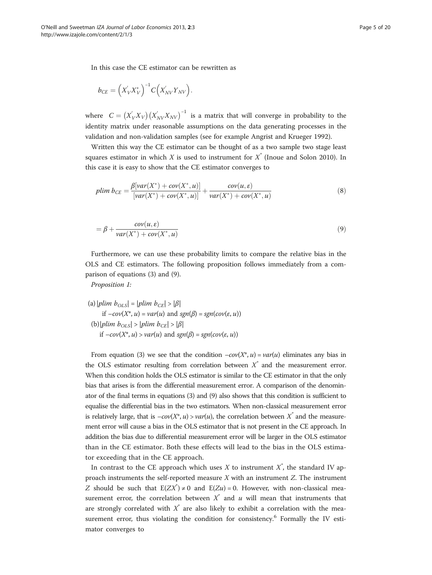In this case the CE estimator can be rewritten as

$$
b_{CE} = \left(X_{V}^{'}X_{V}^{*}\right)^{-1}C\left(X_{NV}^{'}Y_{NV}\right).
$$

where  $C = (X_V'X_V)(X_{NV}'X_{NV})^{-1}$  is a matrix that will converge in probability to the identity matrix under reasonable assumptions on the data generating processes in the validation and non-validation samples (see for example Angrist and Krueger [1992\)](#page-18-0).

Written this way the CE estimator can be thought of as a two sample two stage least squares estimator in which X is used to instrument for  $X^*$  (Inoue and Solon [2010\)](#page-18-0). In this case it is easy to show that the CE estimator converges to

$$
plim \, b_{CE} = \frac{\beta[var(X^*) + cov(X^*, u)]}{[var(X^*) + cov(X^*, u)]} + \frac{cov(u, \varepsilon)}{var(X^*) + cov(X^*, u)}
$$
(8)

$$
= \beta + \frac{cov(u, \varepsilon)}{var(X^*) + cov(X^*, u)}
$$
\n(9)

Furthermore, we can use these probability limits to compare the relative bias in the OLS and CE estimators. The following proposition follows immediately from a comparison of equations [\(3](#page-3-0)) and (9).

Proposition 1:

\n- (a) 
$$
|plim\ b_{OLS}| = |plim\ b_{CE}| > |\beta|
$$
 if  $-cov(X^*, u) = var(u)$  and  $sgn(\beta) = sgn(cov(\varepsilon, u))$
\n- (b)  $|plim\ b_{OLS}| > |plim\ b_{CE}| > |\beta|$  if  $-cov(X^*, u) > var(u)$  and  $sgn(\beta) = sgn(cov(\varepsilon, u))$
\n

From equation ([3](#page-3-0)) we see that the condition  $-cov(X^*, u) = var(u)$  eliminates any bias in the OLS estimator resulting from correlation between  $X^*$  and the measurement error. When this condition holds the OLS estimator is similar to the CE estimator in that the only bias that arises is from the differential measurement error. A comparison of the denominator of the final terms in equations ([3](#page-3-0)) and (9) also shows that this condition is sufficient to equalise the differential bias in the two estimators. When non-classical measurement error is relatively large, that is  $-cov(X^*, u) > var(u)$ , the correlation between  $X^*$  and the measurement error will cause a bias in the OLS estimator that is not present in the CE approach. In addition the bias due to differential measurement error will be larger in the OLS estimator than in the CE estimator. Both these effects will lead to the bias in the OLS estimator exceeding that in the CE approach.

In contrast to the CE approach which uses  $X$  to instrument  $X^*$ , the standard IV approach instruments the self-reported measure X with an instrument Z. The instrument Z should be such that  $E(ZX^*) \neq 0$  and  $E(Zu) = 0$ . However, with non-classical measurement error, the correlation between  $X^*$  and u will mean that instruments that are strongly correlated with  $\vec{X}$  are also likely to exhibit a correlation with the measurement error, thus violating the condition for consistency.<sup>6</sup> Formally the IV estimator converges to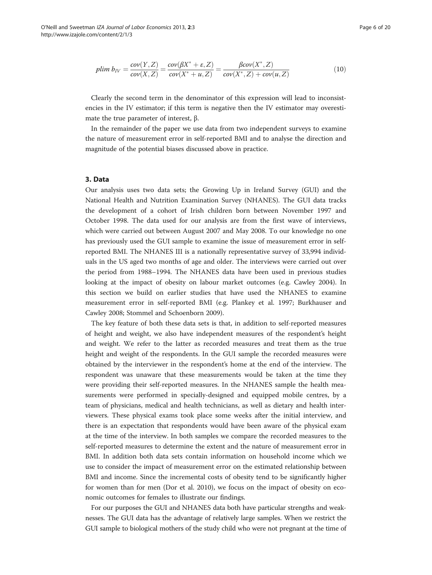<span id="page-5-0"></span>
$$
plim\ b_{IV} = \frac{cov(Y,Z)}{cov(X,Z)} = \frac{cov(\beta X^* + \varepsilon, Z)}{cov(X^* + u, Z)} = \frac{\beta cov(X^*, Z)}{cov(X^*, Z) + cov(u, Z)}
$$
(10)

Clearly the second term in the denominator of this expression will lead to inconsistencies in the IV estimator; if this term is negative then the IV estimator may overestimate the true parameter of interest, β.

In the remainder of the paper we use data from two independent surveys to examine the nature of measurement error in self-reported BMI and to analyse the direction and magnitude of the potential biases discussed above in practice.

#### 3. Data

Our analysis uses two data sets; the Growing Up in Ireland Survey (GUI) and the National Health and Nutrition Examination Survey (NHANES). The GUI data tracks the development of a cohort of Irish children born between November 1997 and October 1998. The data used for our analysis are from the first wave of interviews, which were carried out between August 2007 and May 2008. To our knowledge no one has previously used the GUI sample to examine the issue of measurement error in selfreported BMI. The NHANES III is a nationally representative survey of 33,994 individuals in the US aged two months of age and older. The interviews were carried out over the period from 1988–1994. The NHANES data have been used in previous studies looking at the impact of obesity on labour market outcomes (e.g. Cawley [2004\)](#page-18-0). In this section we build on earlier studies that have used the NHANES to examine measurement error in self-reported BMI (e.g. Plankey et al. [1997](#page-19-0); Burkhauser and Cawley [2008](#page-18-0); Stommel and Schoenborn [2009\)](#page-19-0).

The key feature of both these data sets is that, in addition to self-reported measures of height and weight, we also have independent measures of the respondent's height and weight. We refer to the latter as recorded measures and treat them as the true height and weight of the respondents. In the GUI sample the recorded measures were obtained by the interviewer in the respondent's home at the end of the interview. The respondent was unaware that these measurements would be taken at the time they were providing their self-reported measures. In the NHANES sample the health measurements were performed in specially-designed and equipped mobile centres, by a team of physicians, medical and health technicians, as well as dietary and health interviewers. These physical exams took place some weeks after the initial interview, and there is an expectation that respondents would have been aware of the physical exam at the time of the interview. In both samples we compare the recorded measures to the self-reported measures to determine the extent and the nature of measurement error in BMI. In addition both data sets contain information on household income which we use to consider the impact of measurement error on the estimated relationship between BMI and income. Since the incremental costs of obesity tend to be significantly higher for women than for men (Dor et al. [2010](#page-18-0)), we focus on the impact of obesity on economic outcomes for females to illustrate our findings.

For our purposes the GUI and NHANES data both have particular strengths and weaknesses. The GUI data has the advantage of relatively large samples. When we restrict the GUI sample to biological mothers of the study child who were not pregnant at the time of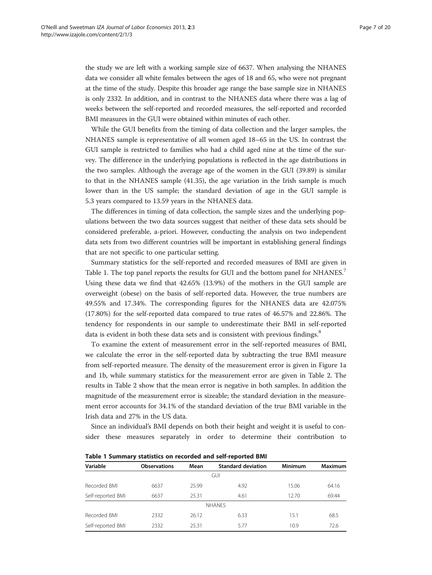the study we are left with a working sample size of 6637. When analysing the NHANES data we consider all white females between the ages of 18 and 65, who were not pregnant at the time of the study. Despite this broader age range the base sample size in NHANES is only 2332. In addition, and in contrast to the NHANES data where there was a lag of weeks between the self-reported and recorded measures, the self-reported and recorded BMI measures in the GUI were obtained within minutes of each other.

While the GUI benefits from the timing of data collection and the larger samples, the NHANES sample is representative of all women aged 18–65 in the US. In contrast the GUI sample is restricted to families who had a child aged nine at the time of the survey. The difference in the underlying populations is reflected in the age distributions in the two samples. Although the average age of the women in the GUI (39.89) is similar to that in the NHANES sample (41.35), the age variation in the Irish sample is much lower than in the US sample; the standard deviation of age in the GUI sample is 5.3 years compared to 13.59 years in the NHANES data.

The differences in timing of data collection, the sample sizes and the underlying populations between the two data sources suggest that neither of these data sets should be considered preferable, a-priori. However, conducting the analysis on two independent data sets from two different countries will be important in establishing general findings that are not specific to one particular setting.

Summary statistics for the self-reported and recorded measures of BMI are given in Table 1. The top panel reports the results for GUI and the bottom panel for NHANES.<sup>7</sup> Using these data we find that 42.65% (13.9%) of the mothers in the GUI sample are overweight (obese) on the basis of self-reported data. However, the true numbers are 49.55% and 17.34%. The corresponding figures for the NHANES data are 42.075% (17.80%) for the self-reported data compared to true rates of 46.57% and 22.86%. The tendency for respondents in our sample to underestimate their BMI in self-reported data is evident in both these data sets and is consistent with previous findings.<sup>8</sup>

To examine the extent of measurement error in the self-reported measures of BMI, we calculate the error in the self-reported data by subtracting the true BMI measure from self-reported measure. The density of the measurement error is given in Figure [1](#page-7-0)a and [1](#page-7-0)b, while summary statistics for the measurement error are given in Table [2.](#page-8-0) The results in Table [2](#page-8-0) show that the mean error is negative in both samples. In addition the magnitude of the measurement error is sizeable; the standard deviation in the measurement error accounts for 34.1% of the standard deviation of the true BMI variable in the Irish data and 27% in the US data.

Since an individual's BMI depends on both their height and weight it is useful to consider these measures separately in order to determine their contribution to

| Variable          | <b>Observations</b> | Mean  | <b>Standard deviation</b> | <b>Minimum</b> | <b>Maximum</b> |
|-------------------|---------------------|-------|---------------------------|----------------|----------------|
|                   |                     |       | <b>GUI</b>                |                |                |
| Recorded BMI      | 6637                | 25.99 | 4.92                      | 15.06          | 64.16          |
| Self-reported BMI | 6637                | 25.31 | 4.61                      | 12.70          | 69.44          |
|                   |                     |       | <b>NHANES</b>             |                |                |
| Recorded BMI      | 2332                | 26.12 | 6.33                      | 15.1           | 68.5           |
| Self-reported BMI | 2332                | 25.31 | 5.77                      | 10.9           | 72.6           |

Table 1 Summary statistics on recorded and self-reported BMI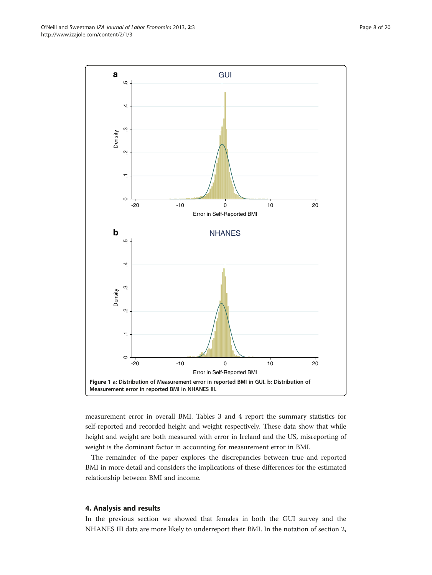measurement error in overall BMI. Tables [3](#page-8-0) and [4](#page-9-0) report the summary statistics for self-reported and recorded height and weight respectively. These data show that while height and weight are both measured with error in Ireland and the US, misreporting of weight is the dominant factor in accounting for measurement error in BMI.

The remainder of the paper explores the discrepancies between true and reported BMI in more detail and considers the implications of these differences for the estimated relationship between BMI and income.

#### 4. Analysis and results

In the previous section we showed that females in both the GUI survey and the NHANES III data are more likely to underreport their BMI. In the notation of section [2,](#page-1-0)

<span id="page-7-0"></span>O'Neill and Sweetman IZA Journal of Labor Economics 2013, 2:3 **Page 8 of 20** Page 8 of 20 http://www.izajole.com/content/2/1/3

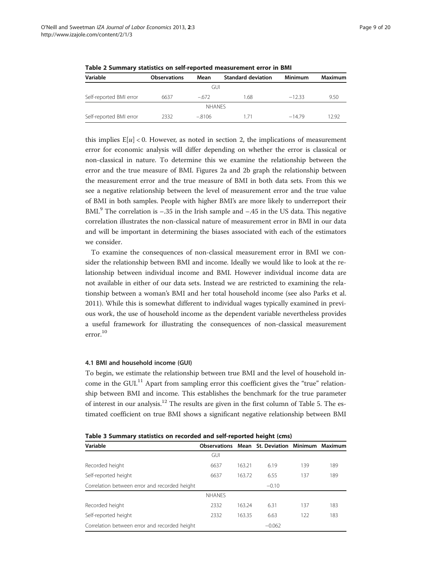| Variable                | <b>Observations</b> | Mean          | <b>Standard deviation</b> | <b>Minimum</b> | Maximum |
|-------------------------|---------------------|---------------|---------------------------|----------------|---------|
|                         |                     | GUI.          |                           |                |         |
| Self-reported BMI error | 6637                | $-672$        | 1.68                      | $-1233$        | 9.50    |
|                         |                     | <b>NHANES</b> |                           |                |         |
| Self-reported BMI error | 2332                | $-.8106$      | 1/1                       | $-1479$        | 1292    |

<span id="page-8-0"></span>Table 2 Summary statistics on self-reported measurement error in BMI

this implies  $E[u] < 0$ . However, as noted in section [2](#page-1-0), the implications of measurement error for economic analysis will differ depending on whether the error is classical or non-classical in nature. To determine this we examine the relationship between the error and the true measure of BMI. Figures [2](#page-10-0)a and [2](#page-10-0)b graph the relationship between the measurement error and the true measure of BMI in both data sets. From this we see a negative relationship between the level of measurement error and the true value of BMI in both samples. People with higher BMI's are more likely to underreport their BMI.<sup>9</sup> The correlation is  $-.35$  in the Irish sample and  $-.45$  in the US data. This negative correlation illustrates the non-classical nature of measurement error in BMI in our data and will be important in determining the biases associated with each of the estimators we consider.

To examine the consequences of non-classical measurement error in BMI we consider the relationship between BMI and income. Ideally we would like to look at the relationship between individual income and BMI. However individual income data are not available in either of our data sets. Instead we are restricted to examining the relationship between a woman's BMI and her total household income (see also Parks et al. [2011](#page-19-0)). While this is somewhat different to individual wages typically examined in previous work, the use of household income as the dependent variable nevertheless provides a useful framework for illustrating the consequences of non-classical measurement error.10

#### 4.1 BMI and household income (GUI)

To begin, we estimate the relationship between true BMI and the level of household income in the GUI.<sup>11</sup> Apart from sampling error this coefficient gives the "true" relationship between BMI and income. This establishes the benchmark for the true parameter of interest in our analysis.<sup>12</sup> The results are given in the first column of Table [5.](#page-10-0) The estimated coefficient on true BMI shows a significant negative relationship between BMI

| Table 3 Summary statistics on recorded and self-reported height (cms) |  |  |  |  |
|-----------------------------------------------------------------------|--|--|--|--|
|-----------------------------------------------------------------------|--|--|--|--|

| Variable                                      |               |        | <b>Observations Mean St. Deviation Minimum Maximum</b> |     |     |
|-----------------------------------------------|---------------|--------|--------------------------------------------------------|-----|-----|
|                                               | <b>GUI</b>    |        |                                                        |     |     |
| Recorded height                               | 6637          | 163.21 | 6.19                                                   | 139 | 189 |
| Self-reported height                          | 6637          | 163.72 | 6.55                                                   | 137 | 189 |
| Correlation between error and recorded height |               |        | $-0.10$                                                |     |     |
|                                               | <b>NHANFS</b> |        |                                                        |     |     |
| Recorded height                               | 2332          | 163.24 | 6.31                                                   | 137 | 183 |
| Self-reported height                          | 2332          | 163.35 | 6.63                                                   | 122 | 183 |
| Correlation between error and recorded height |               |        | $-0.062$                                               |     |     |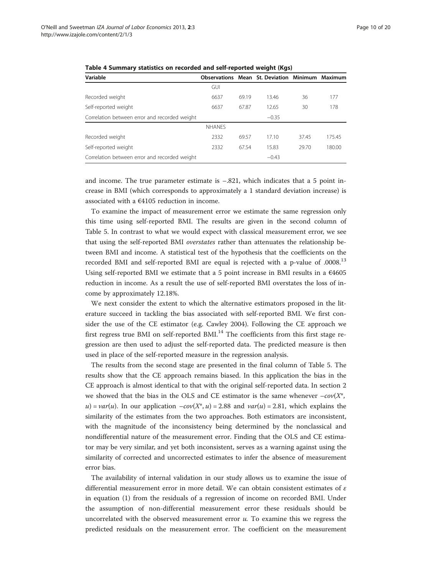| Variable                                      |               |       | <b>Observations Mean St. Deviation Minimum Maximum</b> |       |        |
|-----------------------------------------------|---------------|-------|--------------------------------------------------------|-------|--------|
|                                               | GUI           |       |                                                        |       |        |
| Recorded weight                               | 6637          | 69.19 | 13.46                                                  | 36    | 177    |
| Self-reported weight                          | 6637          | 67.87 | 12.65                                                  | 30    | 178    |
| Correlation between error and recorded weight |               |       | $-0.35$                                                |       |        |
|                                               | <b>NHANES</b> |       |                                                        |       |        |
| Recorded weight                               | 2332          | 69.57 | 17.10                                                  | 37.45 | 175.45 |
| Self-reported weight                          | 2332          | 67.54 | 15.83                                                  | 29.70 | 180.00 |
| Correlation between error and recorded weight |               |       | $-0.43$                                                |       |        |

<span id="page-9-0"></span>Table 4 Summary statistics on recorded and self-reported weight (Kgs)

and income. The true parameter estimate is  $-.821$ , which indicates that a 5 point increase in BMI (which corresponds to approximately a 1 standard deviation increase) is associated with a €4105 reduction in income.

To examine the impact of measurement error we estimate the same regression only this time using self-reported BMI. The results are given in the second column of Table [5.](#page-10-0) In contrast to what we would expect with classical measurement error, we see that using the self-reported BMI overstates rather than attenuates the relationship between BMI and income. A statistical test of the hypothesis that the coefficients on the recorded BMI and self-reported BMI are equal is rejected with a p-value of .0008.<sup>13</sup> Using self-reported BMI we estimate that a 5 point increase in BMI results in a  $\epsilon$ 4605 reduction in income. As a result the use of self-reported BMI overstates the loss of income by approximately 12.18%.

We next consider the extent to which the alternative estimators proposed in the literature succeed in tackling the bias associated with self-reported BMI. We first consider the use of the CE estimator (e.g. Cawley [2004\)](#page-18-0). Following the CE approach we first regress true BMI on self-reported BMI. $^{14}$  The coefficients from this first stage regression are then used to adjust the self-reported data. The predicted measure is then used in place of the self-reported measure in the regression analysis.

The results from the second stage are presented in the final column of Table [5.](#page-10-0) The results show that the CE approach remains biased. In this application the bias in the CE approach is almost identical to that with the original self-reported data. In section [2](#page-1-0) we showed that the bias in the OLS and CE estimator is the same whenever  $-cov(X^*)$ , u) = var(u). In our application  $-cov(X^*, u) = 2.88$  and var(u) = 2.81, which explains the similarity of the estimates from the two approaches. Both estimators are inconsistent, with the magnitude of the inconsistency being determined by the nonclassical and nondifferential nature of the measurement error. Finding that the OLS and CE estimator may be very similar, and yet both inconsistent, serves as a warning against using the similarity of corrected and uncorrected estimates to infer the absence of measurement error bias.

The availability of internal validation in our study allows us to examine the issue of differential measurement error in more detail. We can obtain consistent estimates of  $\varepsilon$ in equation ([1\)](#page-2-0) from the residuals of a regression of income on recorded BMI. Under the assumption of non-differential measurement error these residuals should be uncorrelated with the observed measurement error  $u$ . To examine this we regress the predicted residuals on the measurement error. The coefficient on the measurement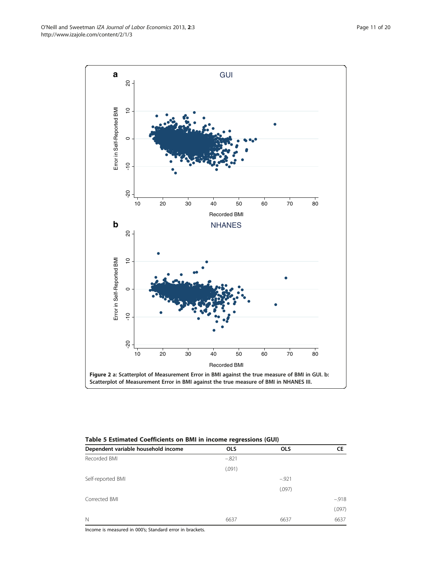Income is measured in 000's; Standard error in brackets.

| Table 5 Estimated Coefficients on BMI in income regressions (GUI) |            |            |         |  |
|-------------------------------------------------------------------|------------|------------|---------|--|
| Dependent variable household income                               | <b>OLS</b> | <b>OLS</b> | СE      |  |
| Recorded BMI                                                      | $-.821$    |            |         |  |
|                                                                   | (.091)     |            |         |  |
| Self-reported BMI                                                 |            | $-921$     |         |  |
|                                                                   |            | (.097)     |         |  |
| Corrected BMI                                                     |            |            | $-.918$ |  |
|                                                                   |            |            | (.097)  |  |
| $\mathbb N$                                                       | 6637       | 6637       | 6637    |  |

<span id="page-10-0"></span>

GUI

**a**

 $\overline{8}$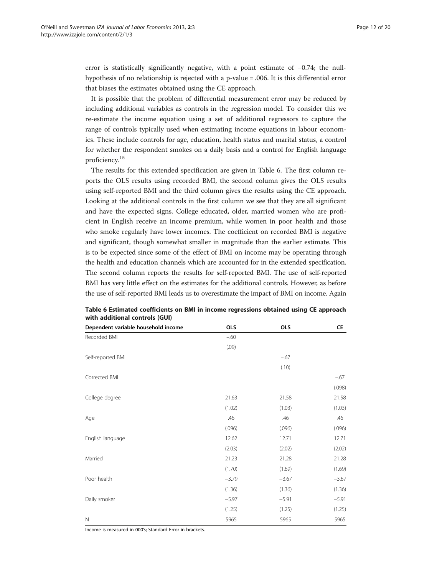<span id="page-11-0"></span>error is statistically significantly negative, with a point estimate of −0.74; the nullhypothesis of no relationship is rejected with a p-value = .006. It is this differential error that biases the estimates obtained using the CE approach.

It is possible that the problem of differential measurement error may be reduced by including additional variables as controls in the regression model. To consider this we re-estimate the income equation using a set of additional regressors to capture the range of controls typically used when estimating income equations in labour economics. These include controls for age, education, health status and marital status, a control for whether the respondent smokes on a daily basis and a control for English language proficiency.<sup>15</sup>

The results for this extended specification are given in Table 6. The first column reports the OLS results using recorded BMI, the second column gives the OLS results using self-reported BMI and the third column gives the results using the CE approach. Looking at the additional controls in the first column we see that they are all significant and have the expected signs. College educated, older, married women who are proficient in English receive an income premium, while women in poor health and those who smoke regularly have lower incomes. The coefficient on recorded BMI is negative and significant, though somewhat smaller in magnitude than the earlier estimate. This is to be expected since some of the effect of BMI on income may be operating through the health and education channels which are accounted for in the extended specification. The second column reports the results for self-reported BMI. The use of self-reported BMI has very little effect on the estimates for the additional controls. However, as before the use of self-reported BMI leads us to overestimate the impact of BMI on income. Again

| Dependent variable household income | <b>OLS</b> | <b>OLS</b> | CE      |
|-------------------------------------|------------|------------|---------|
| Recorded BMI                        | $-60$      |            |         |
|                                     | (.09)      |            |         |
| Self-reported BMI                   |            | $-.67$     |         |
|                                     |            | (.10)      |         |
| Corrected BMI                       |            |            | $-67$   |
|                                     |            |            | (.098)  |
| College degree                      | 21.63      | 21.58      | 21.58   |
|                                     | (1.02)     | (1.03)     | (1.03)  |
| Age                                 | .46        | .46        | .46     |
|                                     | (.096)     | (.096)     | (.096)  |
| English language                    | 12.62      | 12.71      | 12.71   |
|                                     | (2.03)     | (2.02)     | (2.02)  |
| Married                             | 21.23      | 21.28      | 21.28   |
|                                     | (1.70)     | (1.69)     | (1.69)  |
| Poor health                         | $-3.79$    | $-3.67$    | $-3.67$ |
|                                     | (1.36)     | (1.36)     | (1.36)  |
| Daily smoker                        | $-5.97$    | $-5.91$    | $-5.91$ |
|                                     | (1.25)     | (1.25)     | (1.25)  |
| $\mathbb N$                         | 5965       | 5965       | 5965    |

| Table 6 Estimated coefficients on BMI in income regressions obtained using CE approach |
|----------------------------------------------------------------------------------------|
| with additional controls (GUI)                                                         |

Income is measured in 000's; Standard Error in brackets.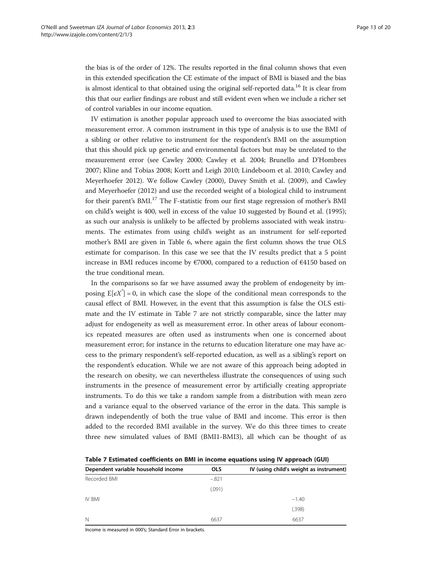the bias is of the order of 12%. The results reported in the final column shows that even in this extended specification the CE estimate of the impact of BMI is biased and the bias is almost identical to that obtained using the original self-reported data.<sup>16</sup> It is clear from this that our earlier findings are robust and still evident even when we include a richer set of control variables in our income equation.

IV estimation is another popular approach used to overcome the bias associated with measurement error. A common instrument in this type of analysis is to use the BMI of a sibling or other relative to instrument for the respondent's BMI on the assumption that this should pick up genetic and environmental factors but may be unrelated to the measurement error (see Cawley [2000](#page-18-0); Cawley et al. [2004](#page-18-0); Brunello and D'Hombres [2007](#page-18-0); Kline and Tobias [2008](#page-18-0); Kortt and Leigh [2010](#page-18-0); Lindeboom et al. [2010](#page-18-0); Cawley and Meyerhoefer [2012](#page-18-0)). We follow Cawley [\(2000\)](#page-18-0), Davey Smith et al. [\(2009\)](#page-18-0), and Cawley and Meyerhoefer [\(2012](#page-18-0)) and use the recorded weight of a biological child to instrument for their parent's BMI.<sup>17</sup> The F-statistic from our first stage regression of mother's BMI on child's weight is 400, well in excess of the value 10 suggested by Bound et al. ([1995](#page-18-0)); as such our analysis is unlikely to be affected by problems associated with weak instruments. The estimates from using child's weight as an instrument for self-reported mother's BMI are given in Table [6,](#page-11-0) where again the first column shows the true OLS estimate for comparison. In this case we see that the IV results predict that a 5 point increase in BMI reduces income by €7000, compared to a reduction of €4150 based on the true conditional mean.

In the comparisons so far we have assumed away the problem of endogeneity by imposing  $E[\epsilon X^*]=0$ , in which case the slope of the conditional mean corresponds to the causal effect of BMI. However, in the event that this assumption is false the OLS estimate and the IV estimate in Table 7 are not strictly comparable, since the latter may adjust for endogeneity as well as measurement error. In other areas of labour economics repeated measures are often used as instruments when one is concerned about measurement error; for instance in the returns to education literature one may have access to the primary respondent's self-reported education, as well as a sibling's report on the respondent's education. While we are not aware of this approach being adopted in the research on obesity, we can nevertheless illustrate the consequences of using such instruments in the presence of measurement error by artificially creating appropriate instruments. To do this we take a random sample from a distribution with mean zero and a variance equal to the observed variance of the error in the data. This sample is drawn independently of both the true value of BMI and income. This error is then added to the recorded BMI available in the survey. We do this three times to create three new simulated values of BMI (BMI1-BMI3), all which can be thought of as

Table 7 Estimated coefficients on BMI in income equations using IV approach (GUI)

| <u>ianis i modificata acqilistative cil billi ili litarilla adalalatib anilid is abbi casil (wali</u> |            |                                         |
|-------------------------------------------------------------------------------------------------------|------------|-----------------------------------------|
| Dependent variable household income                                                                   | <b>OLS</b> | IV (using child's weight as instrument) |
| Recorded BMI                                                                                          | $-.821$    |                                         |
|                                                                                                       | (.091)     |                                         |
| IV BMI                                                                                                |            | $-1.40$                                 |
|                                                                                                       |            | (.398)                                  |
| $\mathbb N$                                                                                           | 6637       | 6637                                    |

Income is measured in 000's; Standard Error in brackets.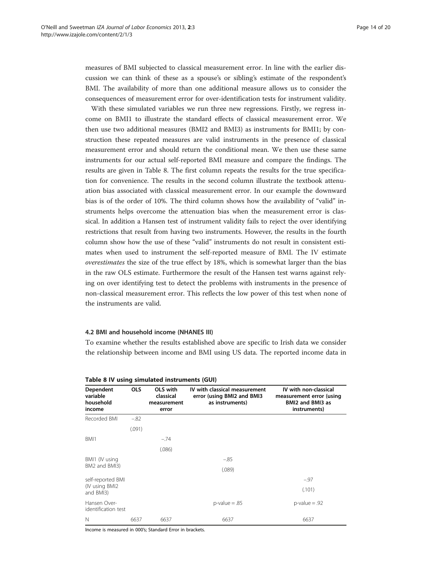measures of BMI subjected to classical measurement error. In line with the earlier discussion we can think of these as a spouse's or sibling's estimate of the respondent's BMI. The availability of more than one additional measure allows us to consider the consequences of measurement error for over-identification tests for instrument validity.

With these simulated variables we run three new regressions. Firstly, we regress income on BMI1 to illustrate the standard effects of classical measurement error. We then use two additional measures (BMI2 and BMI3) as instruments for BMI1; by construction these repeated measures are valid instruments in the presence of classical measurement error and should return the conditional mean. We then use these same instruments for our actual self-reported BMI measure and compare the findings. The results are given in Table 8. The first column repeats the results for the true specification for convenience. The results in the second column illustrate the textbook attenuation bias associated with classical measurement error. In our example the downward bias is of the order of 10%. The third column shows how the availability of "valid" instruments helps overcome the attenuation bias when the measurement error is classical. In addition a Hansen test of instrument validity fails to reject the over identifying restrictions that result from having two instruments. However, the results in the fourth column show how the use of these "valid" instruments do not result in consistent estimates when used to instrument the self-reported measure of BMI. The IV estimate overestimates the size of the true effect by 18%, which is somewhat larger than the bias in the raw OLS estimate. Furthermore the result of the Hansen test warns against relying on over identifying test to detect the problems with instruments in the presence of non-classical measurement error. This reflects the low power of this test when none of the instruments are valid.

#### 4.2 BMI and household income (NHANES III)

To examine whether the results established above are specific to Irish data we consider the relationship between income and BMI using US data. The reported income data in

| Dependent<br>variable<br>household<br>income | <b>OLS</b> | OLS with<br>classical<br>measurement<br>error | IV with classical measurement<br>error (using BMI2 and BMI3<br>as instruments) | IV with non-classical<br>measurement error (using<br>BMI2 and BMI3 as<br>instruments) |
|----------------------------------------------|------------|-----------------------------------------------|--------------------------------------------------------------------------------|---------------------------------------------------------------------------------------|
| Recorded BMI                                 | $-.82$     |                                               |                                                                                |                                                                                       |
|                                              | (.091)     |                                               |                                                                                |                                                                                       |
| BMI1                                         |            | $-.74$                                        |                                                                                |                                                                                       |
|                                              |            | (.086)                                        |                                                                                |                                                                                       |
| BMI1 (IV using                               |            |                                               | $-.85$                                                                         |                                                                                       |
| BM2 and BMI3)                                |            |                                               | (.089)                                                                         |                                                                                       |
| self-reported BMI                            |            |                                               |                                                                                | $-.97$                                                                                |
| (IV using BMI2)<br>and BMI3)                 |            |                                               |                                                                                | (.101)                                                                                |
| Hansen Over-<br>identification test          |            |                                               | $p$ -value = .85                                                               | $p$ -value = .92                                                                      |
| N                                            | 6637       | 6637                                          | 6637                                                                           | 6637                                                                                  |

#### Table 8 IV using simulated instruments (GUI)

Income is measured in 000's; Standard Error in brackets.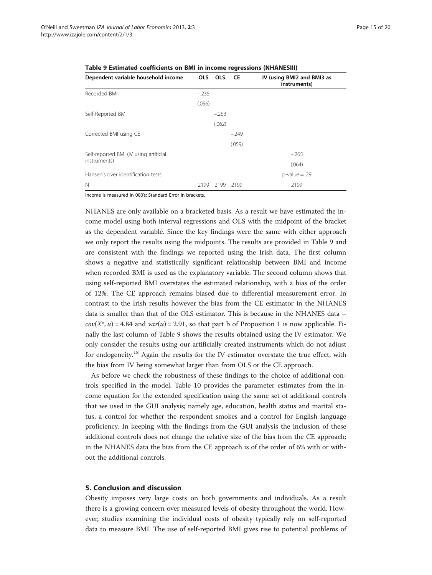| Dependent variable household income    | OLS     | <b>OLS</b> | <b>CE</b> | IV (using BMI2 and BMI3 as<br>instruments) |
|----------------------------------------|---------|------------|-----------|--------------------------------------------|
| Recorded BMI                           | $-.235$ |            |           |                                            |
|                                        | (.056)  |            |           |                                            |
| Self-Reported BMI                      |         | $-263$     |           |                                            |
|                                        |         | (.062)     |           |                                            |
| Corrected BMI using CE                 |         |            | $-.249$   |                                            |
|                                        |         |            | (.059)    |                                            |
| Self-reported BMI (IV using artificial |         |            |           | $-.265$                                    |
| instruments)                           |         |            |           | (.064)                                     |
| Hansen's over identification tests     |         |            |           | $p$ -value = .29                           |
| N                                      | 2199    | 2199       | 2199      | 2199                                       |

<span id="page-14-0"></span>

| Table 9 Estimated coefficients on BMI in income regressions (NHANESIII) |  |  |  |  |  |
|-------------------------------------------------------------------------|--|--|--|--|--|
|-------------------------------------------------------------------------|--|--|--|--|--|

Income is measured in 000's; Standard Error in brackets.

NHANES are only available on a bracketed basis. As a result we have estimated the income model using both interval regressions and OLS with the midpoint of the bracket as the dependent variable. Since the key findings were the same with either approach we only report the results using the midpoints. The results are provided in Table 9 and are consistent with the findings we reported using the Irish data. The first column shows a negative and statistically significant relationship between BMI and income when recorded BMI is used as the explanatory variable. The second column shows that using self-reported BMI overstates the estimated relationship, with a bias of the order of 12%. The CE approach remains biased due to differential measurement error. In contrast to the Irish results however the bias from the CE estimator in the NHANES data is smaller than that of the OLS estimator. This is because in the NHANES data –  $cov(X^*, u) = 4.84$  and  $var(u) = 2.91$ , so that part b of Proposition 1 is now applicable. Finally the last column of Table 9 shows the results obtained using the IV estimator. We only consider the results using our artificially created instruments which do not adjust for endogeneity.<sup>18</sup> Again the results for the IV estimator overstate the true effect, with the bias from IV being somewhat larger than from OLS or the CE approach.

As before we check the robustness of these findings to the choice of additional controls specified in the model. Table [10](#page-15-0) provides the parameter estimates from the income equation for the extended specification using the same set of additional controls that we used in the GUI analysis; namely age, education, health status and marital status, a control for whether the respondent smokes and a control for English language proficiency. In keeping with the findings from the GUI analysis the inclusion of these additional controls does not change the relative size of the bias from the CE approach; in the NHANES data the bias from the CE approach is of the order of 6% with or without the additional controls.

#### 5. Conclusion and discussion

Obesity imposes very large costs on both governments and individuals. As a result there is a growing concern over measured levels of obesity throughout the world. However, studies examining the individual costs of obesity typically rely on self-reported data to measure BMI. The use of self-reported BMI gives rise to potential problems of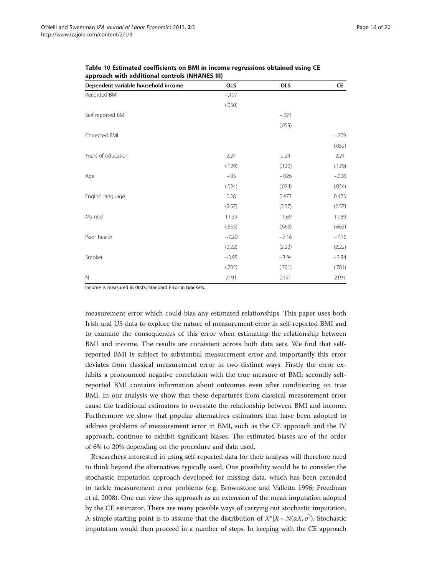| Dependent variable household income | <b>OLS</b> | <b>OLS</b>                                                                                                                                       | CE      |
|-------------------------------------|------------|--------------------------------------------------------------------------------------------------------------------------------------------------|---------|
| Recorded BMI                        | $-.197$    |                                                                                                                                                  |         |
|                                     | (.050)     |                                                                                                                                                  |         |
| Self-reported BMI                   |            | $-.221$<br>(.055)<br>2.24<br>(.129)<br>$-.026$<br>(.024)<br>0.473<br>(2.57)<br>11.69<br>(.663)<br>$-7.16$<br>(2.22)<br>$-3.94$<br>(.701)<br>2191 |         |
|                                     |            |                                                                                                                                                  |         |
| Corrected BMI                       |            |                                                                                                                                                  | $-.209$ |
|                                     |            |                                                                                                                                                  | (.052)  |
| Years of education                  | 2.24       |                                                                                                                                                  | 2.24    |
|                                     | (.129)     |                                                                                                                                                  | (.129)  |
| Age                                 | $-.03$     |                                                                                                                                                  | $-.026$ |
|                                     | (.024)     |                                                                                                                                                  | (.024)  |
| English language                    | 0.28       |                                                                                                                                                  | 0.473   |
|                                     | (2.57)     |                                                                                                                                                  | (2.57)  |
| Married                             | 11.39      |                                                                                                                                                  | 11.69   |
|                                     | (.655)     |                                                                                                                                                  | (.663)  |
| Poor health                         | $-7.20$    |                                                                                                                                                  | $-7.16$ |
|                                     | (2.22)     |                                                                                                                                                  | (2.22)  |
| Smoker                              | $-3.95$    |                                                                                                                                                  | $-3.94$ |
|                                     | (.702)     |                                                                                                                                                  | (.701)  |
| $\mathbb N$                         | 2191       |                                                                                                                                                  | 2191    |

<span id="page-15-0"></span>Table 10 Estimated coefficients on BMI in income regressions obtained using CE approach with additional controls (NHANES III)

Income is measured in 000's; Standard Error in brackets.

measurement error which could bias any estimated relationships. This paper uses both Irish and US data to explore the nature of measurement error in self-reported BMI and to examine the consequences of this error when estimating the relationship between BMI and income. The results are consistent across both data sets. We find that selfreported BMI is subject to substantial measurement error and importantly this error deviates from classical measurement error in two distinct ways. Firstly the error exhibits a pronounced negative correlation with the true measure of BMI; secondly selfreported BMI contains information about outcomes even after conditioning on true BMI. In our analysis we show that these departures from classical measurement error cause the traditional estimators to overstate the relationship between BMI and income. Furthermore we show that popular alternatives estimators that have been adopted to address problems of measurement error in BMI, such as the CE approach and the IV approach, continue to exhibit significant biases. The estimated biases are of the order of 6% to 20% depending on the procedure and data used.

Researchers interested in using self-reported data for their analysis will therefore need to think beyond the alternatives typically used. One possibility would be to consider the stochastic imputation approach developed for missing data, which has been extended to tackle measurement error problems (e.g. Brownstone and Valletta [1996;](#page-18-0) Freedman et al. [2008\)](#page-18-0). One can view this approach as an extension of the mean imputation adopted by the CE estimator. There are many possible ways of carrying out stochastic imputation. A simple starting point is to assume that the distribution of  $X^*|X \sim N(\alpha X, \sigma^2)$ . Stochastic imputation would then proceed in a number of steps. In keeping with the CE approach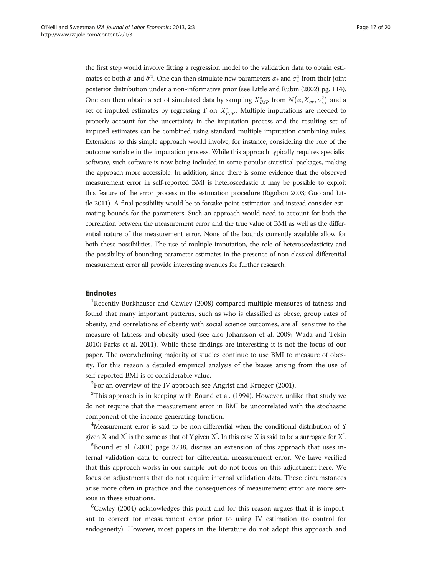the first step would involve fitting a regression model to the validation data to obtain estimates of both  $\hat{\alpha}$  and  $\hat{\sigma}^2$ . One can then simulate new parameters  $\alpha_*$  and  $\sigma_*^2$  from their joint -posterior distribution under a non-informative prior (see Little and Rubin [\(2002\)](#page-18-0) pg. 114). One can then obtain a set of simulated data by sampling  $X^*_{IMP}$  from  $N(\alpha_* X_{nv}, \sigma_*^2)$  and a set of imputed estimates by regressing Y on  $X^*_{IMP}$ . Multiple imputations are needed to properly account for the uncertainty in the imputation process and the resulting set of imputed estimates can be combined using standard multiple imputation combining rules. Extensions to this simple approach would involve, for instance, considering the role of the outcome variable in the imputation process. While this approach typically requires specialist software, such software is now being included in some popular statistical packages, making the approach more accessible. In addition, since there is some evidence that the observed measurement error in self-reported BMI is heteroscedastic it may be possible to exploit this feature of the error process in the estimation procedure (Rigobon [2003;](#page-19-0) Guo and Little [2011](#page-18-0)). A final possibility would be to forsake point estimation and instead consider estimating bounds for the parameters. Such an approach would need to account for both the correlation between the measurement error and the true value of BMI as well as the differential nature of the measurement error. None of the bounds currently available allow for both these possibilities. The use of multiple imputation, the role of heteroscedasticity and the possibility of bounding parameter estimates in the presence of non-classical differential measurement error all provide interesting avenues for further research.

#### Endnotes

<sup>1</sup>Recently Burkhauser and Cawley ([2008](#page-18-0)) compared multiple measures of fatness and found that many important patterns, such as who is classified as obese, group rates of obesity, and correlations of obesity with social science outcomes, are all sensitive to the measure of fatness and obesity used (see also Johansson et al. [2009](#page-18-0); Wada and Tekin [2010](#page-19-0); Parks et al. [2011\)](#page-19-0). While these findings are interesting it is not the focus of our paper. The overwhelming majority of studies continue to use BMI to measure of obesity. For this reason a detailed empirical analysis of the biases arising from the use of self-reported BMI is of considerable value.

 $2$ For an overview of the IV approach see Angrist and Krueger [\(2001](#page-18-0)).

 $3$ This approach is in keeping with Bound et al. [\(1994\)](#page-18-0). However, unlike that study we do not require that the measurement error in BMI be uncorrelated with the stochastic component of the income generating function.

<sup>4</sup>Measurement error is said to be non-differential when the conditional distribution of Y given X and X<sup>\*</sup> is the same as that of Y given X<sup>\*</sup>. In this case X is said to be a surrogate for X<sup>\*</sup>.

5 Bound et al. ([2001](#page-18-0)) page 3738, discuss an extension of this approach that uses internal validation data to correct for differential measurement error. We have verified that this approach works in our sample but do not focus on this adjustment here. We focus on adjustments that do not require internal validation data. These circumstances arise more often in practice and the consequences of measurement error are more serious in these situations.

<sup>6</sup>Cawley [\(2004\)](#page-18-0) acknowledges this point and for this reason argues that it is important to correct for measurement error prior to using IV estimation (to control for endogeneity). However, most papers in the literature do not adopt this approach and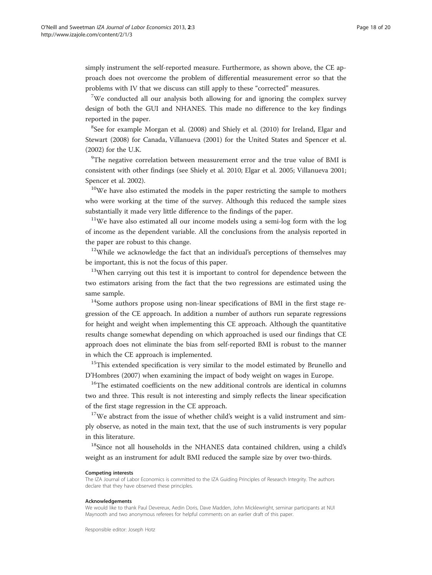simply instrument the self-reported measure. Furthermore, as shown above, the CE approach does not overcome the problem of differential measurement error so that the problems with IV that we discuss can still apply to these "corrected" measures.

<sup>7</sup>We conducted all our analysis both allowing for and ignoring the complex survey design of both the GUI and NHANES. This made no difference to the key findings reported in the paper.

<sup>8</sup>See for example Morgan et al. [\(2008\)](#page-18-0) and Shiely et al. ([2010\)](#page-19-0) for Ireland, Elgar and Stewart [\(2008\)](#page-18-0) for Canada, Villanueva ([2001](#page-19-0)) for the United States and Spencer et al. ([2002](#page-19-0)) for the U.K.

<sup>9</sup>The negative correlation between measurement error and the true value of BMI is consistent with other findings (see Shiely et al. [2010;](#page-19-0) Elgar et al. [2005](#page-18-0); Villanueva [2001](#page-19-0); Spencer et al. [2002](#page-19-0)).

 $10$ We have also estimated the models in the paper restricting the sample to mothers who were working at the time of the survey. Although this reduced the sample sizes substantially it made very little difference to the findings of the paper.

<sup>11</sup>We have also estimated all our income models using a semi-log form with the log of income as the dependent variable. All the conclusions from the analysis reported in the paper are robust to this change.

 $12$ While we acknowledge the fact that an individual's perceptions of themselves may be important, this is not the focus of this paper.

<sup>13</sup>When carrying out this test it is important to control for dependence between the two estimators arising from the fact that the two regressions are estimated using the same sample.

<sup>14</sup>Some authors propose using non-linear specifications of BMI in the first stage regression of the CE approach. In addition a number of authors run separate regressions for height and weight when implementing this CE approach. Although the quantitative results change somewhat depending on which approached is used our findings that CE approach does not eliminate the bias from self-reported BMI is robust to the manner in which the CE approach is implemented.

<sup>15</sup>This extended specification is very similar to the model estimated by Brunello and D'Hombres ([2007](#page-18-0)) when examining the impact of body weight on wages in Europe.

<sup>16</sup>The estimated coefficients on the new additional controls are identical in columns two and three. This result is not interesting and simply reflects the linear specification of the first stage regression in the CE approach.

 $17$ We abstract from the issue of whether child's weight is a valid instrument and simply observe, as noted in the main text, that the use of such instruments is very popular in this literature.

<sup>18</sup>Since not all households in the NHANES data contained children, using a child's weight as an instrument for adult BMI reduced the sample size by over two-thirds.

#### Competing interests

The IZA Journal of Labor Economics is committed to the IZA Guiding Principles of Research Integrity. The authors declare that they have observed these principles.

#### Acknowledgements

We would like to thank Paul Devereux, Aedin Doris, Dave Madden, John Micklewright, seminar participants at NUI Maynooth and two anonymous referees for helpful comments on an earlier draft of this paper.

Responsible editor: Joseph Hotz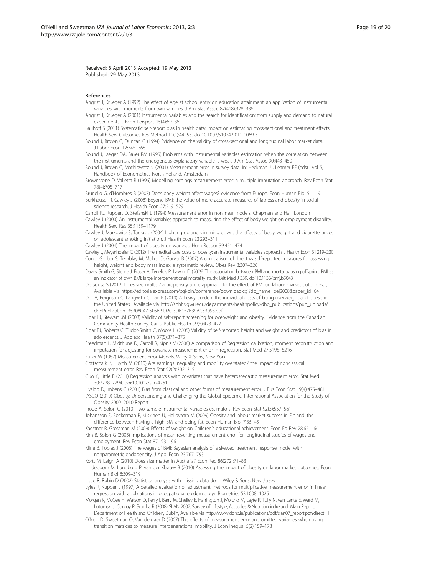<span id="page-18-0"></span>Received: 8 April 2013 Accepted: 19 May 2013 Published: 29 May 2013

#### References

- Angrist J, Krueger A (1992) The effect of Age at school entry on education attainment: an application of instrumental variables with moments from two samples. J Am Stat Assoc 87(418):328–336
- Angrist J, Krueger A (2001) Instrumental variables and the search for identification: from supply and demand to natural experiments. J Econ Perspect 15(4):69–86
- Bauhoff S (2011) Systematic self-report bias in health data: impact on estimating cross-sectional and treatment effects. Health Serv Outcomes Res Method 11(1):44–53. doi[:10.1007/s10742-011-0069-3](http://dx.doi.org/10.1007/s10742-011-0069-3)
- Bound J, Brown C, Duncan G (1994) Evidence on the validity of cross-sectional and longitudinal labor market data. J Labor Econ 12:345–368
- Bound J, Jaeger DA, Baker RM (1995) Problems with instrumental variables estimation when the correlation between the instruments and the endogenous explanatory variable is weak. J Am Stat Assoc 90:443–450
- Bound J, Brown C, Mathiowetz N (2001) Measurement error in survey data. In: Heckman JJ, Leamer EE (eds) , vol 5, Handbook of Econometrics North-Holland, Amsterdam
- Brownstone D, Valletta R (1996) Modelling earnings measurement error: a multiple imputation approach. Rev Econ Stat 78(4):705–717

Brunello G, d'Hombres B (2007) Does body weight affect wages? evidence from Europe. Econ Human Biol 5:1–19

- Burkhauser R, Cawley J (2008) Beyond BMI: the value of more accurate measures of fatness and obesity in social science research. J Health Econ 27:519–529
- Carroll RJ, Ruppert D, Stefanski L (1994) Measurement error in nonlinear models. Chapman and Hall, London
- Cawley J (2000) An instrumental variables approach to measuring the effect of body weight on employment disability. Health Serv Res 35:1159–1179
- Cawley J, Markowitz S, Tauras J (2004) Lighting up and slimming down: the effects of body weight and cigarette prices on adolescent smoking initiation. J Health Econ 23:293–311

Cawley J (2004) The impact of obesity on wages. J Hum Resour 39:451–474

- Cawley J, Meyerhoefer C (2012) The medical care costs of obesity: an instrumental variables approach. J Health Econ 31:219–230 Conor Gorber S, Temblay M, Moher D, Gorver B (2007) A comparison of direct vs self-reported measures for assessing height, weight and body mass index: a systematic review. Obes Rev 8:307–326
- Davey Smith G, Sterne J, Fraser A, Tynelius P, Lawlor D (2009) The association between BMI and mortality using offspring BMI as an indicator of own BMI: large intergenerational mortality study. Brit Med J 339. doi[:10.1136/bmj.b5043](http://dx.doi.org/10.1136/bmj.b5043)
- De Sousa S (2012) Does size matter? a propensity score approach to the effect of BMI on labour market outcomes. Available via [https://editorialexpress.com/cgi-bin/conference/download.cgi?db\\_name=pej2008&paper\\_id=64](https://editorialexpress.com/cgi-bin/conference/download.cgi?db_name=pej2008&paper_id=64)
- Dor A, Ferguson C, Langwith C, Tan E (2010) A heavy burden: the individual costs of being overweight and obese in the United States. Available via [http://sphhs.gwu.edu/departments/healthpolicy/dhp\\_publications/pub\\_uploads/](http://sphhs.gwu.edu/departments/healthpolicy/dhp_publications/pub_uploads/dhpPublication_35308C47-5056-9D20-3DB157B39AC53093.pdf) [dhpPublication\\_35308C47-5056-9D20-3DB157B39AC53093.pdf](http://sphhs.gwu.edu/departments/healthpolicy/dhp_publications/pub_uploads/dhpPublication_35308C47-5056-9D20-3DB157B39AC53093.pdf)
- Elgar FJ, Stewart JM (2008) Validity of self-report screening for overweight and obesity. Evidence from the Canadian Community Health Survey. Can J Public Health 99(5):423–427
- Elgar FJ, Roberts C, Tudor-Smith C, Moore L (2005) Validity of self-reported height and weight and predictors of bias in adolescents. J Adolesc Health 37(5):371–375
- Freedman L, Midthune D, Carroll R, Kipnis V (2008) A comparison of Regression calibration, moment reconstruction and imputation for adjusting for covariate measurement error in regression. Stat Med 27:5195–5216
- Fuller W (1987) Measurement Error Models. Wiley & Sons, New York
- Gottschalk P, Huynh M (2010) Are earnings inequality and mobility overstated? the impact of nonclassical measurement error. Rev Econ Stat 92(2):302–315
- Guo Y, Little R (2011) Regression analysis with covariates that have heteroscedastic measurement error. Stat Med 30:2278–2294. doi[:10.1002/sim.4261](http://dx.doi.org/10.1002/sim.4261)
- Hyslop D, Imbens G (2001) Bias from classical and other forms of measurement error. J Bus Econ Stat 19(4):475–481
- IASCO (2010) Obesity: Understanding and Challenging the Global Epidemic, International Association for the Study of Obesity 2009–2010 Report
- Inoue A, Solon G (2010) Two-sample instrumental variables estimators. Rev Econ Stat 92(3):557–561
- Johansson E, Bockerman P, Kiiskinen U, Heliovaara M (2009) Obesity and labour market success in Finland: the difference between having a high BMI and being fat. Econ Human Biol 7:36–45
- Kaestner R, Grossman M (2009) Effects of weight on Children's educational achievement. Econ Ed Rev 28:651–661 Kim B, Solon G (2005) Implications of mean-reverting measurement error for longitudinal studies of wages and employment. Rev Econ Stat 87:193–196
- Kline B, Tobias J (2008) The wages of BMI: Bayesian analysis of a skewed treatment response model with nonparametric endogeneity. J Appl Econ 23:767–793
- Kortt M, Leigh A (2010) Does size matter in Australia? Econ Rec 86(272):71–83
- Lindeboom M, Lundborg P, van der Klaauw B (2010) Assessing the impact of obesity on labor market outcomes. Econ Human Biol 8:309–319
- Little R, Rubin D (2002) Statistical analysis with missing data. John Wiley & Sons, New Jersey
- Lyles R, Kupper L (1997) A detailed evaluation of adjustment methods for multiplicative measurement error in linear regression with applications in occupational epidemiology. Biometrics 53:1008–1025
- Morgan K, McGee H, Watson D, Perry I, Barry M, Shelley E, Harrington J, Molcho M, Layte R, Tully N, van Lente E, Ward M, Lutomski J, Conroy R, Brugha R (2008) SLAN 2007: Survey of Lifestyle, Attitudes & Nutrition in Ireland: Main Report. Department of Health and Children, Dublin, Available via [http://www.dohc.ie/publications/pdf/slan07\\_report.pdf?direct=1](http://www.dohc.ie/publications/pdf/slan07_report.pdf?direct=1)
- O'Neill D, Sweetman O, Van de gaer D (2007) The effects of measurement error and omitted variables when using transition matrices to measure intergenerational mobility. J Econ Inequal 5(2):159–178